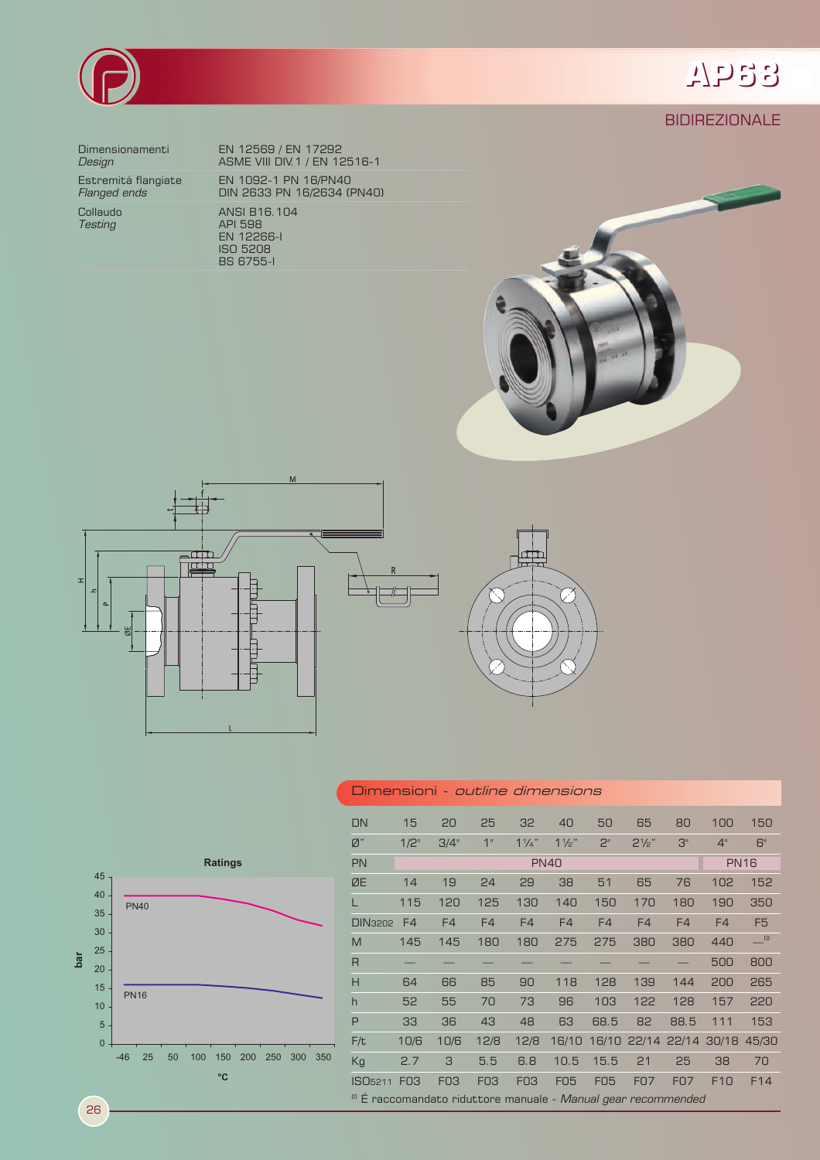

**BIDIREZIONALE** 



Dimensionamenti EN 12569 / EN 17292 **Design ASME VIII DIV.1 / EN 12516-1** Estremità flangiate EN 1092-1 PN 16/PN40 *Flanged ends* DIN 2633 PN 16/2634 (PN40) Collaudo ANSI B16.104 **Testing API 598**  EN 12266-I ISO 5208 BS 6755-I







## Dimensioni - outline dimensions



26

| <b>DN</b>                                                                 | 15          | 20         | 25         | 32             | 40             | 50             | 65               | 80                | 100             | 150             |
|---------------------------------------------------------------------------|-------------|------------|------------|----------------|----------------|----------------|------------------|-------------------|-----------------|-----------------|
| Ø"                                                                        | 1/2"        | 3/4"       | 1"         | $1\frac{1}{4}$ | $1\frac{1}{2}$ | 2 <sup>n</sup> | $2\frac{1}{2}$ " | 3"                | 4 <sup>11</sup> | 6"              |
| <b>PN</b>                                                                 | <b>PN40</b> |            |            |                |                |                |                  | <b>PN16</b>       |                 |                 |
| ØE                                                                        | 14          | 19         | 24         | 29             | 38             | 51             | 65               | 76                | 102             | 152             |
|                                                                           | 115         | 120        | 125        | 130            | 140            | 150            | 170              | 180               | 190             | 350             |
| <b>DIN3202</b>                                                            | F4          | F4         | F4         | F4             | F4             | F4             | F4               | F4                | F4              | F <sub>5</sub>  |
| M                                                                         | 145         | 145        | 180        | 180            | 275            | 275            | 380              | 380               | 440             | $\Box$          |
| $\overline{R}$                                                            |             |            |            |                |                |                |                  |                   | 500             | 800             |
| H                                                                         | 64          | 66         | 85         | 90             | 118            | 128            | 139              | 144               | 200             | 265             |
| $\overline{h}$                                                            | 52          | 55         | 70         | 73             | 96             | 103            | 122              | 128               | 157             | 220             |
| P                                                                         | 33          | 36         | 43         | 48             | 63             | 68.5           | 82               | 88.5              | 111             | 153             |
| F/t                                                                       | 10/6        | 10/6       | 12/8       | 12/8           | 16/10          |                |                  | 16/10 22/14 22/14 | 30/18           | 45/30           |
| Kg                                                                        | 2.7         | 3          | 5.5        | 6.8            | 10.5           | 15.5           | 21               | 25                | 38              | 70              |
| ISO <sub>5211</sub>                                                       | <b>F03</b>  | <b>FO3</b> | <b>FO3</b> | <b>FO3</b>     | <b>FO5</b>     | <b>FO5</b>     | <b>F07</b>       | <b>F07</b>        | F10             | F <sub>14</sub> |
| <sup>(1)</sup> É raccomandato riduttore manuale - Manual gear recommended |             |            |            |                |                |                |                  |                   |                 |                 |